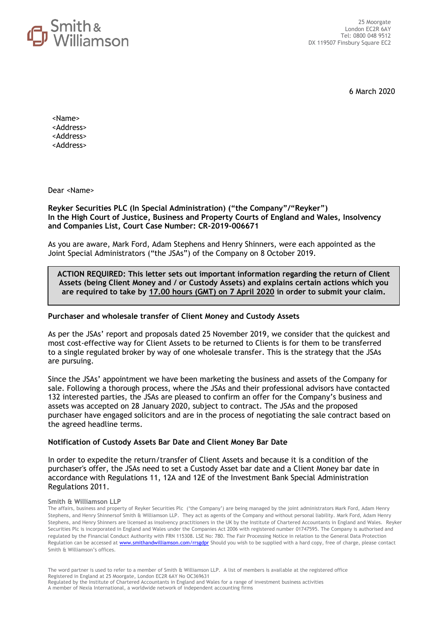

6 March 2020

<Name> <Address> <Address> <Address>

Dear <Name>

## **Reyker Securities PLC (In Special Administration) ("the Company"/"Reyker") In the High Court of Justice, Business and Property Courts of England and Wales, Insolvency and Companies List, Court Case Number: CR-2019-006671**

As you are aware, Mark Ford, Adam Stephens and Henry Shinners, were each appointed as the Joint Special Administrators ("the JSAs") of the Company on 8 October 2019.

## **ACTION REQUIRED: This letter sets out important information regarding the return of Client Assets (being Client Money and / or Custody Assets) and explains certain actions which you are required to take by 17.00 hours (GMT) on 7 April 2020 in order to submit your claim.**

## **Purchaser and wholesale transfer of Client Money and Custody Assets**

As per the JSAs' report and proposals dated 25 November 2019, we consider that the quickest and most cost-effective way for Client Assets to be returned to Clients is for them to be transferred to a single regulated broker by way of one wholesale transfer. This is the strategy that the JSAs are pursuing.

Since the JSAs' appointment we have been marketing the business and assets of the Company for sale. Following a thorough process, where the JSAs and their professional advisors have contacted 132 interested parties, the JSAs are pleased to confirm an offer for the Company's business and assets was accepted on 28 January 2020, subject to contract. The JSAs and the proposed purchaser have engaged solicitors and are in the process of negotiating the sale contract based on the agreed headline terms.

## **Notification of Custody Assets Bar Date and Client Money Bar Date**

In order to expedite the return/transfer of Client Assets and because it is a condition of the purchaser's offer, the JSAs need to set a Custody Asset bar date and a Client Money bar date in accordance with Regulations 11, 12A and 12E of the Investment Bank Special Administration Regulations 2011.

#### **Smith & Williamson LLP**

The affairs, business and property of Reyker Securities Plc ('the Company') are being managed by the joint administrators Mark Ford, Adam Henry Stephens, and Henry Shinnersof Smith & Williamson LLP. They act as agents of the Company and without personal liability. Mark Ford, Adam Henry Stephens, and Henry Shinners are licensed as insolvency practitioners in the UK by the Institute of Chartered Accountants in England and Wales. Reyker Securities Plc is incorporated in England and Wales under the Companies Act 2006 with registered number 01747595. The Company is authorised and regulated by the Financial Conduct Authority with FRN 115308. LSE No: 780. The Fair Processing Notice in relation to the General Data Protection Regulation can be accessed at [www.smithandwilliamson.com/rrsgdpr](http://www.smithandwilliamson.com/rrsgdpr) Should you wish to be supplied with a hard copy, free of charge, please contact Smith & Williamson's offices.

The word partner is used to refer to a member of Smith & Williamson LLP. A list of members is available at the registered office Registered in England at 25 Moorgate, London EC2R 6AY No OC369631 Regulated by the Institute of Chartered Accountants in England and Wales for a range of investment business activities A member of Nexia International, a worldwide network of independent accounting firms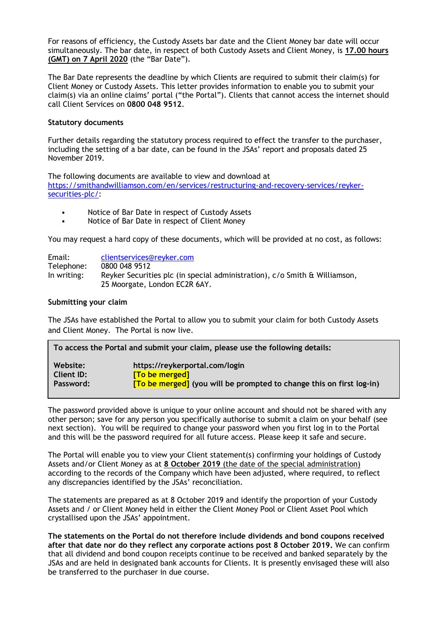For reasons of efficiency, the Custody Assets bar date and the Client Money bar date will occur simultaneously. The bar date, in respect of both Custody Assets and Client Money, is **17.00 hours (GMT) on 7 April 2020** (the "Bar Date").

The Bar Date represents the deadline by which Clients are required to submit their claim(s) for Client Money or Custody Assets. This letter provides information to enable you to submit your claim(s) via an online claims' portal ("the Portal"). Clients that cannot access the internet should call Client Services on **0800 048 9512**.

## **Statutory documents**

Further details regarding the statutory process required to effect the transfer to the purchaser, including the setting of a bar date, can be found in the JSAs' report and proposals dated 25 November 2019.

The following documents are available to view and download at [https://smithandwilliamson.com/en/services/restructuring-and-recovery-services/reyker](https://smithandwilliamson.com/en/services/restructuring-and-recovery-services/reyker-securities-plc/)[securities-plc/:](https://smithandwilliamson.com/en/services/restructuring-and-recovery-services/reyker-securities-plc/)

- Notice of Bar Date in respect of Custody Assets
- Notice of Bar Date in respect of Client Money

You may request a hard copy of these documents, which will be provided at no cost, as follows:

| Email:      | clientservices@reyker.com                                                  |
|-------------|----------------------------------------------------------------------------|
| Telephone:  | 0800 048 9512                                                              |
| In writing: | Reyker Securities plc (in special administration), c/o Smith & Williamson, |
|             | 25 Moorgate, London EC2R 6AY.                                              |

## **Submitting your claim**

The JSAs have established the Portal to allow you to submit your claim for both Custody Assets and Client Money. The Portal is now live.

| To access the Portal and submit your claim, please use the following details: |                                                                             |  |
|-------------------------------------------------------------------------------|-----------------------------------------------------------------------------|--|
| Website:                                                                      | https://reykerportal.com/login                                              |  |
| <b>Client ID:</b>                                                             | [To be merged]                                                              |  |
| Password:                                                                     | <b>[To be merged]</b> (you will be prompted to change this on first log-in) |  |

The password provided above is unique to your online account and should not be shared with any other person; save for any person you specifically authorise to submit a claim on your behalf (see next section). You will be required to change your password when you first log in to the Portal and this will be the password required for all future access. Please keep it safe and secure.

The Portal will enable you to view your Client statement(s) confirming your holdings of Custody Assets and/or Client Money as at **8 October 2019** (the date of the special administration) according to the records of the Company which have been adjusted, where required, to reflect any discrepancies identified by the JSAs' reconciliation.

The statements are prepared as at 8 October 2019 and identify the proportion of your Custody Assets and / or Client Money held in either the Client Money Pool or Client Asset Pool which crystallised upon the JSAs' appointment.

**The statements on the Portal do not therefore include dividends and bond coupons received after that date nor do they reflect any corporate actions post 8 October 2019.** We can confirm that all dividend and bond coupon receipts continue to be received and banked separately by the JSAs and are held in designated bank accounts for Clients. It is presently envisaged these will also be transferred to the purchaser in due course.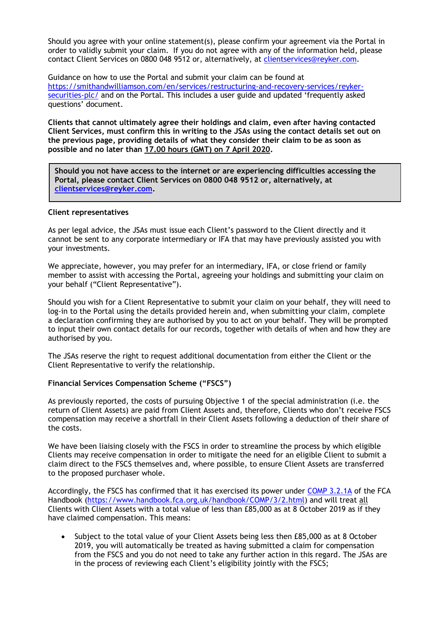Should you agree with your online statement(s), please confirm your agreement via the Portal in order to validly submit your claim. If you do not agree with any of the information held, please contact Client Services on 0800 048 9512 or, alternatively, at [clientservices@reyker.com.](mailto:clientservices@reyker.com)

Guidance on how to use the Portal and submit your claim can be found at [https://smithandwilliamson.com/en/services/restructuring-and-recovery-services/reyker](https://smithandwilliamson.com/en/services/restructuring-and-recovery-services/reyker-securities-plc/)[securities-plc/](https://smithandwilliamson.com/en/services/restructuring-and-recovery-services/reyker-securities-plc/) and on the Portal. This includes a user guide and updated 'frequently asked questions' document.

**Clients that cannot ultimately agree their holdings and claim, even after having contacted Client Services, must confirm this in writing to the JSAs using the contact details set out on the previous page, providing details of what they consider their claim to be as soon as possible and no later than 17.00 hours (GMT) on 7 April 2020.** 

**Should you not have access to the internet or are experiencing difficulties accessing the Portal, please contact Client Services on 0800 048 9512 or, alternatively, at [clientservices@reyker.com.](mailto:clientservices@reyker.com)** 

#### **Client representatives**

As per legal advice, the JSAs must issue each Client's password to the Client directly and it cannot be sent to any corporate intermediary or IFA that may have previously assisted you with your investments.

We appreciate, however, you may prefer for an intermediary, IFA, or close friend or family member to assist with accessing the Portal, agreeing your holdings and submitting your claim on your behalf ("Client Representative").

Should you wish for a Client Representative to submit your claim on your behalf, they will need to log-in to the Portal using the details provided herein and, when submitting your claim, complete a declaration confirming they are authorised by you to act on your behalf. They will be prompted to input their own contact details for our records, together with details of when and how they are authorised by you.

The JSAs reserve the right to request additional documentation from either the Client or the Client Representative to verify the relationship.

## **Financial Services Compensation Scheme ("FSCS")**

As previously reported, the costs of pursuing Objective 1 of the special administration (i.e. the return of Client Assets) are paid from Client Assets and, therefore, Clients who don't receive FSCS compensation may receive a shortfall in their Client Assets following a deduction of their share of the costs.

We have been liaising closely with the FSCS in order to streamline the process by which eligible Clients may receive compensation in order to mitigate the need for an eligible Client to submit a claim direct to the FSCS themselves and, where possible, to ensure Client Assets are transferred to the proposed purchaser whole.

Accordingly, the FSCS has confirmed that it has exercised its power under [COMP 3.2.1A](https://protect-eu.mimecast.com/s/fmpACkRrrsq5wr9U2f2Nn?domain=handbook.fca.org.uk) of the FCA Handbook [\(https://www.handbook.fca.org.uk/handbook/COMP/3/2.html\)](https://www.handbook.fca.org.uk/handbook/COMP/3/2.html) and will treat all Clients with Client Assets with a total value of less than £85,000 as at 8 October 2019 as if they have claimed compensation. This means:

• Subject to the total value of your Client Assets being less then £85,000 as at 8 October 2019, you will automatically be treated as having submitted a claim for compensation from the FSCS and you do not need to take any further action in this regard. The JSAs are in the process of reviewing each Client's eligibility jointly with the FSCS;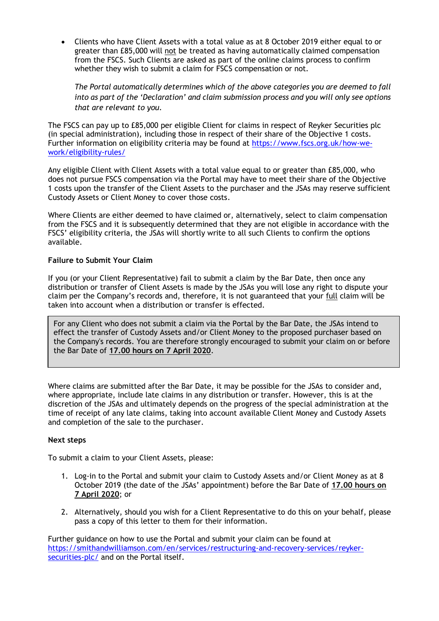• Clients who have Client Assets with a total value as at 8 October 2019 either equal to or greater than £85,000 will not be treated as having automatically claimed compensation from the FSCS. Such Clients are asked as part of the online claims process to confirm whether they wish to submit a claim for FSCS compensation or not.

*The Portal automatically determines which of the above categories you are deemed to fall into as part of the 'Declaration' and claim submission process and you will only see options that are relevant to you.* 

The FSCS can pay up to £85,000 per eligible Client for claims in respect of Reyker Securities plc (in special administration), including those in respect of their share of the Objective 1 costs. Further information on eligibility criteria may be found at [https://www.fscs.org.uk/how-we](https://www.fscs.org.uk/how-we-work/eligibility-rules/)[work/eligibility-rules/](https://www.fscs.org.uk/how-we-work/eligibility-rules/)

Any eligible Client with Client Assets with a total value equal to or greater than £85,000, who does not pursue FSCS compensation via the Portal may have to meet their share of the Objective 1 costs upon the transfer of the Client Assets to the purchaser and the JSAs may reserve sufficient Custody Assets or Client Money to cover those costs.

Where Clients are either deemed to have claimed or, alternatively, select to claim compensation from the FSCS and it is subsequently determined that they are not eligible in accordance with the FSCS' eligibility criteria, the JSAs will shortly write to all such Clients to confirm the options available.

# **Failure to Submit Your Claim**

If you (or your Client Representative) fail to submit a claim by the Bar Date, then once any distribution or transfer of Client Assets is made by the JSAs you will lose any right to dispute your claim per the Company's records and, therefore, it is not guaranteed that your full claim will be taken into account when a distribution or transfer is effected.

For any Client who does not submit a claim via the Portal by the Bar Date, the JSAs intend to effect the transfer of Custody Assets and/or Client Money to the proposed purchaser based on the Company's records. You are therefore strongly encouraged to submit your claim on or before the Bar Date of **17.00 hours on 7 April 2020**.

Where claims are submitted after the Bar Date, it may be possible for the JSAs to consider and, where appropriate, include late claims in any distribution or transfer. However, this is at the discretion of the JSAs and ultimately depends on the progress of the special administration at the time of receipt of any late claims, taking into account available Client Money and Custody Assets and completion of the sale to the purchaser.

# **Next steps**

To submit a claim to your Client Assets, please:

- 1. Log-in to the Portal and submit your claim to Custody Assets and/or Client Money as at 8 October 2019 (the date of the JSAs' appointment) before the Bar Date of **17.00 hours on 7 April 2020**; or
- 2. Alternatively, should you wish for a Client Representative to do this on your behalf, please pass a copy of this letter to them for their information.

Further guidance on how to use the Portal and submit your claim can be found at [https://smithandwilliamson.com/en/services/restructuring-and-recovery-services/reyker](https://smithandwilliamson.com/en/services/restructuring-and-recovery-services/reyker-securities-plc/)[securities-plc/](https://smithandwilliamson.com/en/services/restructuring-and-recovery-services/reyker-securities-plc/) and on the Portal itself.